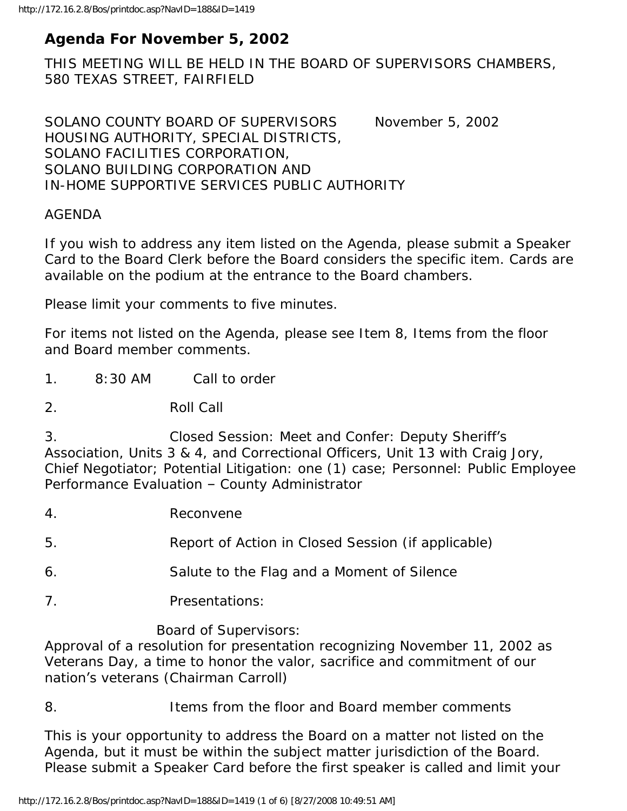# **Agenda For November 5, 2002**

THIS MEETING WILL BE HELD IN THE BOARD OF SUPERVISORS CHAMBERS, 580 TEXAS STREET, FAIRFIELD

SOLANO COUNTY BOARD OF SUPERVISORS November 5, 2002 HOUSING AUTHORITY, SPECIAL DISTRICTS, SOLANO FACILITIES CORPORATION, SOLANO BUILDING CORPORATION AND IN-HOME SUPPORTIVE SERVICES PUBLIC AUTHORITY

#### AGENDA

If you wish to address any item listed on the Agenda, please submit a Speaker Card to the Board Clerk before the Board considers the specific item. Cards are available on the podium at the entrance to the Board chambers.

Please limit your comments to five minutes.

For items not listed on the Agenda, please see Item 8, Items from the floor and Board member comments.

1. 8:30 AM Call to order

2. Roll Call

3. Closed Session: Meet and Confer: Deputy Sheriff's Association, Units 3 & 4, and Correctional Officers, Unit 13 with Craig Jory, Chief Negotiator; Potential Litigation: one (1) case; Personnel: Public Employee Performance Evaluation – County Administrator

- 4. Reconvene
- 5. Report of Action in Closed Session (if applicable)
- 6. Salute to the Flag and a Moment of Silence
- 7. Presentations:

#### Board of Supervisors:

Approval of a resolution for presentation recognizing November 11, 2002 as Veterans Day, a time to honor the valor, sacrifice and commitment of our nation's veterans (Chairman Carroll)

#### 8. Items from the floor and Board member comments

This is your opportunity to address the Board on a matter not listed on the Agenda, but it must be within the subject matter jurisdiction of the Board. Please submit a Speaker Card before the first speaker is called and limit your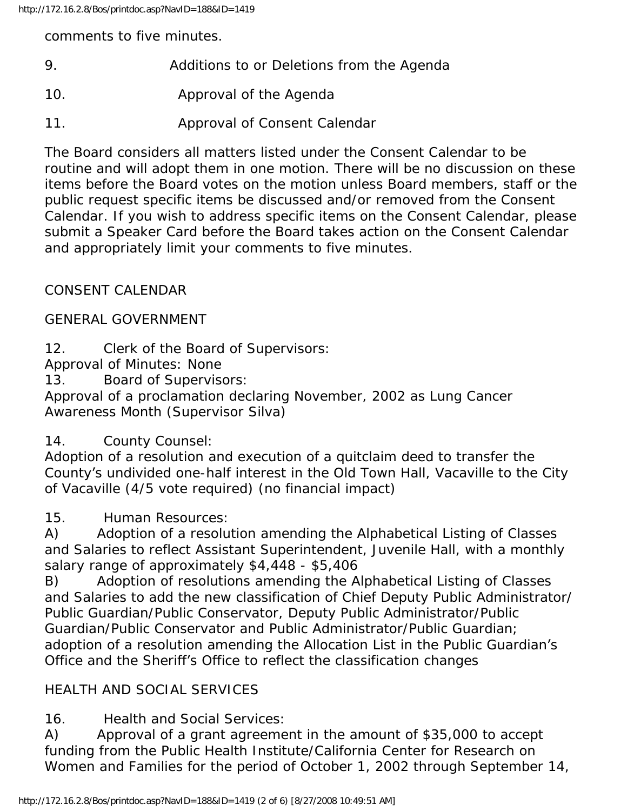comments to five minutes.

- 9. Additions to or Deletions from the Agenda
- 10. Approval of the Agenda
- 11. Approval of Consent Calendar

The Board considers all matters listed under the Consent Calendar to be routine and will adopt them in one motion. There will be no discussion on these items before the Board votes on the motion unless Board members, staff or the public request specific items be discussed and/or removed from the Consent Calendar. If you wish to address specific items on the Consent Calendar, please submit a Speaker Card before the Board takes action on the Consent Calendar and appropriately limit your comments to five minutes.

# CONSENT CALENDAR

## GENERAL GOVERNMENT

12. Clerk of the Board of Supervisors:

Approval of Minutes: None

13. Board of Supervisors:

Approval of a proclamation declaring November, 2002 as Lung Cancer Awareness Month (Supervisor Silva)

## 14. County Counsel:

Adoption of a resolution and execution of a quitclaim deed to transfer the County's undivided one-half interest in the Old Town Hall, Vacaville to the City of Vacaville (4/5 vote required) (no financial impact)

15. Human Resources:

A) Adoption of a resolution amending the Alphabetical Listing of Classes and Salaries to reflect Assistant Superintendent, Juvenile Hall, with a monthly salary range of approximately \$4,448 - \$5,406

B) Adoption of resolutions amending the Alphabetical Listing of Classes and Salaries to add the new classification of Chief Deputy Public Administrator/ Public Guardian/Public Conservator, Deputy Public Administrator/Public Guardian/Public Conservator and Public Administrator/Public Guardian; adoption of a resolution amending the Allocation List in the Public Guardian's Office and the Sheriff's Office to reflect the classification changes

# HEALTH AND SOCIAL SERVICES

16. Health and Social Services:

A) Approval of a grant agreement in the amount of \$35,000 to accept funding from the Public Health Institute/California Center for Research on Women and Families for the period of October 1, 2002 through September 14,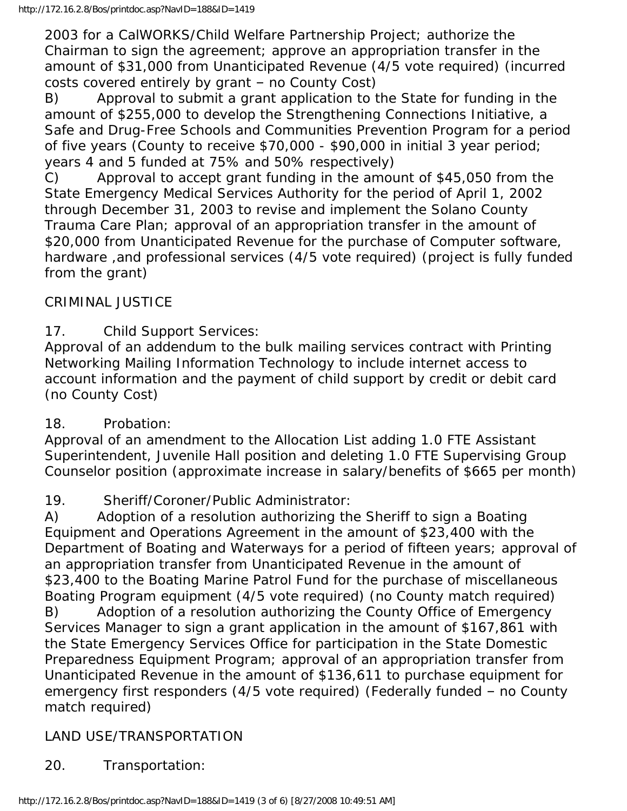2003 for a CalWORKS/Child Welfare Partnership Project; authorize the Chairman to sign the agreement; approve an appropriation transfer in the amount of \$31,000 from Unanticipated Revenue (4/5 vote required) (incurred costs covered entirely by grant – no County Cost)

B) Approval to submit a grant application to the State for funding in the amount of \$255,000 to develop the Strengthening Connections Initiative, a Safe and Drug-Free Schools and Communities Prevention Program for a period of five years (County to receive \$70,000 - \$90,000 in initial 3 year period; years 4 and 5 funded at 75% and 50% respectively)

C) Approval to accept grant funding in the amount of \$45,050 from the State Emergency Medical Services Authority for the period of April 1, 2002 through December 31, 2003 to revise and implement the Solano County Trauma Care Plan; approval of an appropriation transfer in the amount of \$20,000 from Unanticipated Revenue for the purchase of Computer software, hardware ,and professional services (4/5 vote required) (project is fully funded from the grant)

## CRIMINAL JUSTICE

17. Child Support Services:

Approval of an addendum to the bulk mailing services contract with Printing Networking Mailing Information Technology to include internet access to account information and the payment of child support by credit or debit card (no County Cost)

### 18. Probation:

Approval of an amendment to the Allocation List adding 1.0 FTE Assistant Superintendent, Juvenile Hall position and deleting 1.0 FTE Supervising Group Counselor position (approximate increase in salary/benefits of \$665 per month)

### 19. Sheriff/Coroner/Public Administrator:

A) Adoption of a resolution authorizing the Sheriff to sign a Boating Equipment and Operations Agreement in the amount of \$23,400 with the Department of Boating and Waterways for a period of fifteen years; approval of an appropriation transfer from Unanticipated Revenue in the amount of \$23,400 to the Boating Marine Patrol Fund for the purchase of miscellaneous Boating Program equipment (4/5 vote required) (no County match required) B) Adoption of a resolution authorizing the County Office of Emergency Services Manager to sign a grant application in the amount of \$167,861 with the State Emergency Services Office for participation in the State Domestic Preparedness Equipment Program; approval of an appropriation transfer from Unanticipated Revenue in the amount of \$136,611 to purchase equipment for emergency first responders (4/5 vote required) (Federally funded – no County match required)

### LAND USE/TRANSPORTATION

20. Transportation: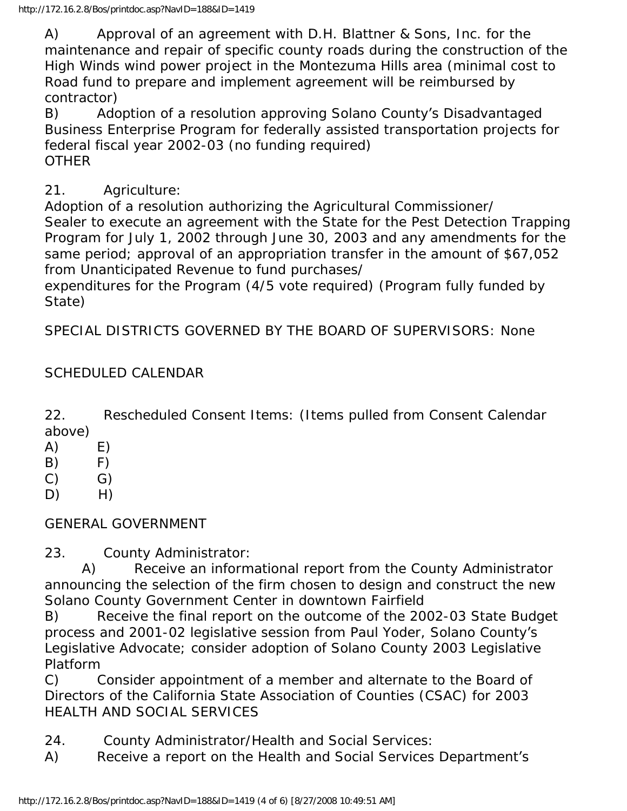A) Approval of an agreement with D.H. Blattner & Sons, Inc. for the maintenance and repair of specific county roads during the construction of the High Winds wind power project in the Montezuma Hills area (minimal cost to Road fund to prepare and implement agreement will be reimbursed by contractor)

B) Adoption of a resolution approving Solano County's Disadvantaged Business Enterprise Program for federally assisted transportation projects for federal fiscal year 2002-03 (no funding required) **OTHER** 

21. Agriculture:

Adoption of a resolution authorizing the Agricultural Commissioner/ Sealer to execute an agreement with the State for the Pest Detection Trapping Program for July 1, 2002 through June 30, 2003 and any amendments for the same period; approval of an appropriation transfer in the amount of \$67,052 from Unanticipated Revenue to fund purchases/

expenditures for the Program (4/5 vote required) (Program fully funded by State)

SPECIAL DISTRICTS GOVERNED BY THE BOARD OF SUPERVISORS: None

## SCHEDULED CALENDAR

22. Rescheduled Consent Items: (Items pulled from Consent Calendar above)

- $(A)$   $E)$
- $(B)$  F)
- $(C)$   $G)$
- $D)$  H)

GENERAL GOVERNMENT

23. County Administrator:

 A) Receive an informational report from the County Administrator announcing the selection of the firm chosen to design and construct the new Solano County Government Center in downtown Fairfield

B) Receive the final report on the outcome of the 2002-03 State Budget process and 2001-02 legislative session from Paul Yoder, Solano County's Legislative Advocate; consider adoption of Solano County 2003 Legislative Platform

C) Consider appointment of a member and alternate to the Board of Directors of the California State Association of Counties (CSAC) for 2003 HEALTH AND SOCIAL SERVICES

24. County Administrator/Health and Social Services:

A) Receive a report on the Health and Social Services Department's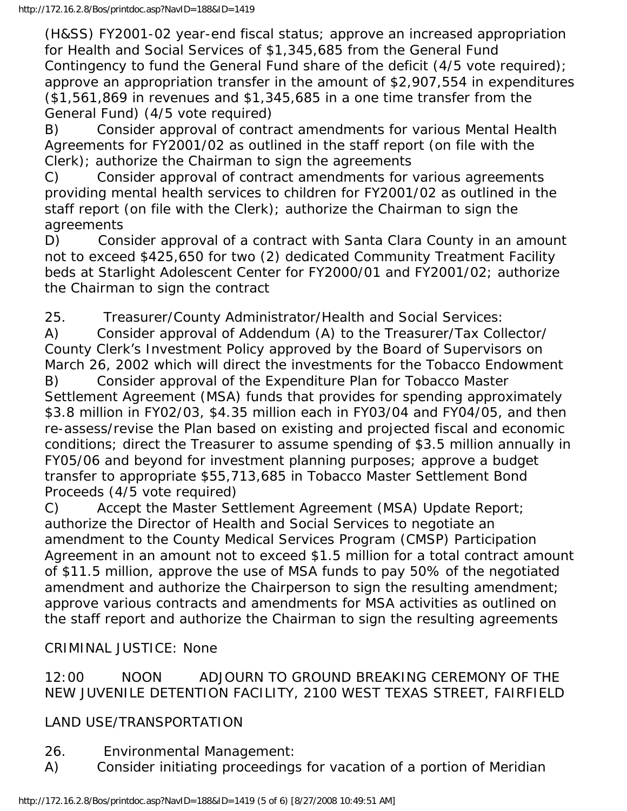(H&SS) FY2001-02 year-end fiscal status; approve an increased appropriation for Health and Social Services of \$1,345,685 from the General Fund Contingency to fund the General Fund share of the deficit (4/5 vote required); approve an appropriation transfer in the amount of \$2,907,554 in expenditures (\$1,561,869 in revenues and \$1,345,685 in a one time transfer from the General Fund) (4/5 vote required)

B) Consider approval of contract amendments for various Mental Health Agreements for FY2001/02 as outlined in the staff report (on file with the Clerk); authorize the Chairman to sign the agreements

C) Consider approval of contract amendments for various agreements providing mental health services to children for FY2001/02 as outlined in the staff report (on file with the Clerk); authorize the Chairman to sign the agreements

D) Consider approval of a contract with Santa Clara County in an amount not to exceed \$425,650 for two (2) dedicated Community Treatment Facility beds at Starlight Adolescent Center for FY2000/01 and FY2001/02; authorize the Chairman to sign the contract

25. Treasurer/County Administrator/Health and Social Services:

A) Consider approval of Addendum (A) to the Treasurer/Tax Collector/ County Clerk's Investment Policy approved by the Board of Supervisors on March 26, 2002 which will direct the investments for the Tobacco Endowment

B) Consider approval of the Expenditure Plan for Tobacco Master Settlement Agreement (MSA) funds that provides for spending approximately \$3.8 million in FY02/03, \$4.35 million each in FY03/04 and FY04/05, and then re-assess/revise the Plan based on existing and projected fiscal and economic conditions; direct the Treasurer to assume spending of \$3.5 million annually in FY05/06 and beyond for investment planning purposes; approve a budget transfer to appropriate \$55,713,685 in Tobacco Master Settlement Bond Proceeds (4/5 vote required)

C) Accept the Master Settlement Agreement (MSA) Update Report; authorize the Director of Health and Social Services to negotiate an amendment to the County Medical Services Program (CMSP) Participation Agreement in an amount not to exceed \$1.5 million for a total contract amount of \$11.5 million, approve the use of MSA funds to pay 50% of the negotiated amendment and authorize the Chairperson to sign the resulting amendment; approve various contracts and amendments for MSA activities as outlined on the staff report and authorize the Chairman to sign the resulting agreements

## CRIMINAL JUSTICE: None

### 12:00 NOON ADJOURN TO GROUND BREAKING CEREMONY OF THE NEW JUVENILE DETENTION FACILITY, 2100 WEST TEXAS STREET, FAIRFIELD

## LAND USE/TRANSPORTATION

- 26. Environmental Management:
- A) Consider initiating proceedings for vacation of a portion of Meridian